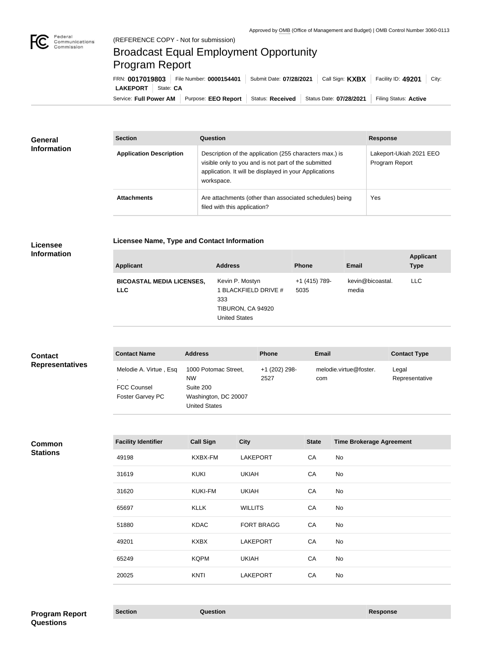

## Broadcast Equal Employment Opportunity Program Report

Service: Full Power AM | Purpose: EEO Report | Status: Received | Status Date: 07/28/2021 | Filing Status: Active **LAKEPORT** | State: CA FRN: **0017019803** File Number: **0000154401** Submit Date: **07/28/2021** Call Sign: **KXBX** Facility ID: **49201** City:

| General<br><b>Information</b> | <b>Section</b>                 | <b>Question</b>                                                                                                                                                                         | <b>Response</b>                           |
|-------------------------------|--------------------------------|-----------------------------------------------------------------------------------------------------------------------------------------------------------------------------------------|-------------------------------------------|
|                               | <b>Application Description</b> | Description of the application (255 characters max.) is<br>visible only to you and is not part of the submitted<br>application. It will be displayed in your Applications<br>workspace. | Lakeport-Ukiah 2021 EEO<br>Program Report |
|                               | <b>Attachments</b>             | Are attachments (other than associated schedules) being<br>filed with this application?                                                                                                 | Yes                                       |

## **Licensee Information**

| <b>Licensee Name, Type and Contact Information</b> |  |
|----------------------------------------------------|--|
|                                                    |  |

| <b>Applicant</b>                               | <b>Address</b>                                                                              | <b>Phone</b>          | <b>Email</b>              | <b>Applicant</b><br><b>Type</b> |
|------------------------------------------------|---------------------------------------------------------------------------------------------|-----------------------|---------------------------|---------------------------------|
| <b>BICOASTAL MEDIA LICENSES,</b><br><b>LLC</b> | Kevin P. Mostyn<br>1 BLACKFIELD DRIVE #<br>333<br>TIBURON, CA 94920<br><b>United States</b> | +1 (415) 789-<br>5035 | kevin@bicoastal.<br>media | LLC.                            |

| <b>Contact</b>         | <b>Contact Name</b>                                              | <b>Address</b>                                                                                 | <b>Phone</b>          | <b>Email</b>                  | <b>Contact Type</b>     |
|------------------------|------------------------------------------------------------------|------------------------------------------------------------------------------------------------|-----------------------|-------------------------------|-------------------------|
| <b>Representatives</b> | Melodie A. Virtue, Esq<br><b>FCC Counsel</b><br>Foster Garvey PC | 1000 Potomac Street,<br><b>NW</b><br>Suite 200<br>Washington, DC 20007<br><b>United States</b> | +1 (202) 298-<br>2527 | melodie.virtue@foster.<br>com | Legal<br>Representative |

**Common Stations**

| <b>Facility Identifier</b> | <b>Call Sign</b> | <b>City</b>       | <b>State</b> | <b>Time Brokerage Agreement</b> |
|----------------------------|------------------|-------------------|--------------|---------------------------------|
| 49198                      | KXBX-FM          | <b>LAKEPORT</b>   | CA           | No                              |
| 31619                      | <b>KUKI</b>      | <b>UKIAH</b>      | CA           | No                              |
| 31620                      | <b>KUKI-FM</b>   | <b>UKIAH</b>      | CA           | No                              |
| 65697                      | <b>KLLK</b>      | <b>WILLITS</b>    | CA           | No                              |
| 51880                      | <b>KDAC</b>      | <b>FORT BRAGG</b> | CA           | No                              |
| 49201                      | <b>KXBX</b>      | <b>LAKEPORT</b>   | CA           | No                              |
| 65249                      | <b>KQPM</b>      | <b>UKIAH</b>      | CA           | No                              |
| 20025                      | <b>KNTI</b>      | <b>LAKEPORT</b>   | CA           | No                              |